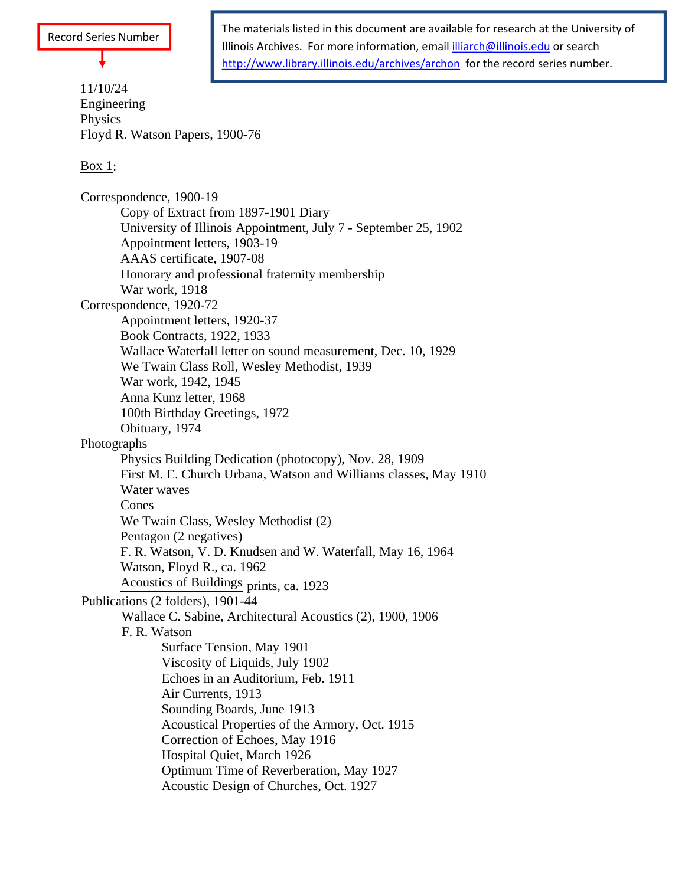## Record Series Number

11/10/24 Engineering Physics and the set of the set of the set of the set of the set of the set of the set of the set of the set of the set of the set of the set of the set of the set of the set of the set of the set of the set of the set of t Floyd R. Watson Papers, 1900-76

## $\frac{\text{Box 1}}{\text{Box 1}}$

Correspondence, 1900-19 Copy of Extract from 1897-1901 Diary University of Illinois Appointment, July 7 - September 25, 1902 Appointment letters, 1903-19 AAAS certificate, 1907-08 Honorary and professional fraternity membership War work, 1918 Correspondence, 1920-72 Appointment letters, 1920-37 Book Contracts, 1922, 1933 Wallace Waterfall letter on sound measurement, Dec. 10, 1929 We Twain Class Roll, Wesley Methodist, 1939 War work, 1942, 1945 Anna Kunz letter, 1968 100th Birthday Greetings, 1972 Obituary, 1974 Photographs Physics Building Dedication (photocopy), Nov. 28, 1909 First M. E. Church Urbana, Watson and Williams classes, May 1910 Water waves Cones We Twain Class, Wesley Methodist (2) Pentagon (2 negatives) F. R. Watson, V. D. Knudsen and W. Waterfall, May 16, 1964 Watson, Floyd R., ca. 1962 Acoustics of Buildings prints, ca. 1923 Publications (2 folders), 1901-44 Wallace C. Sabine, Architectural Acoustics (2), 1900, 1906 F. R. Watson Surface Tension, May 1901 Viscosity of Liquids, July 1902 Echoes in an Auditorium, Feb. 1911 Air Currents, 1913 Sounding Boards, June 1913 Acoustical Properties of the Armory, Oct. 1915 Correction of Echoes, May 1916 Hospital Quiet, March 1926 Optimum Time of Reverberation, May 1927 Acoustic Design of Churches, Oct. 1927

The materials listed in this document are available for research at the University of Illinois Archives. For more information, email illiarch@illinois.edu or search http://www.library.illinois.edu/archives/archon for the record series number.